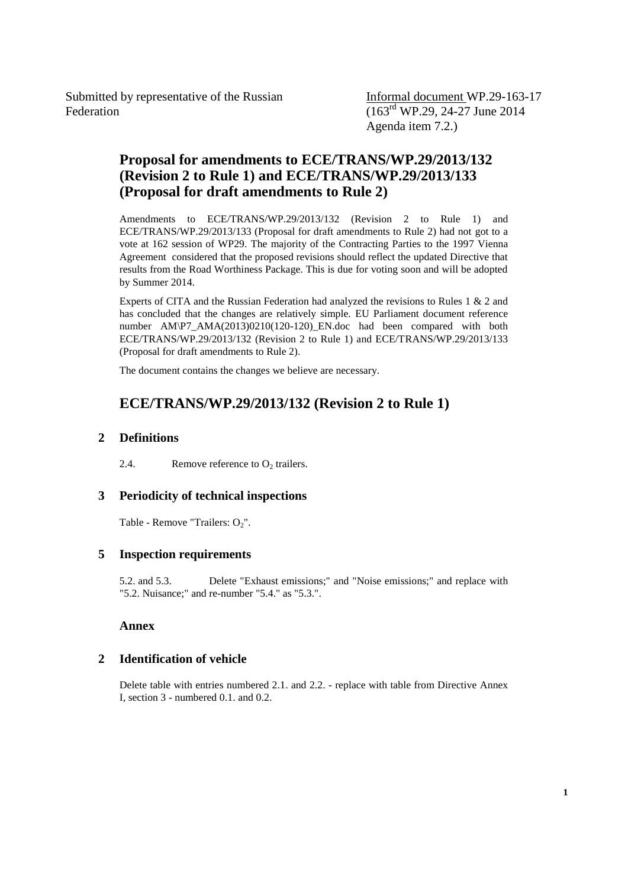Submitted by representative of the Russian Federation

Informal document WP.29-163-17  $(163^{\text{rd}}$  WP.29, 24-27 June 2014 Agenda item 7.2.)

# **Proposal for amendments to ECE/TRANS/WP.29/2013/132 (Revision 2 to Rule 1) and ECE/TRANS/WP.29/2013/133 (Proposal for draft amendments to Rule 2)**

Amendments to ECE/TRANS/WP.29/2013/132 (Revision 2 to Rule 1) and ECE/TRANS/WP.29/2013/133 (Proposal for draft amendments to Rule 2) had not got to a vote at 162 session of WP29. The majority of the Contracting Parties to the 1997 Vienna Agreement considered that the proposed revisions should reflect the updated Directive that results from the Road Worthiness Package. This is due for voting soon and will be adopted by Summer 2014.

Experts of CITA and the Russian Federation had analyzed the revisions to Rules 1 & 2 and has concluded that the changes are relatively simple. EU Parliament document reference number AM\P7\_AMA(2013)0210(120-120)\_EN.doc had been compared with both ECE/TRANS/WP.29/2013/132 (Revision 2 to Rule 1) and ECE/TRANS/WP.29/2013/133 (Proposal for draft amendments to Rule 2).

The document contains the changes we believe are necessary.

# **ECE/TRANS/WP.29/2013/132 (Revision 2 to Rule 1)**

## **2 Definitions**

2.4. Remove reference to  $O_2$  trailers.

## **3 Periodicity of technical inspections**

Table - Remove "Trailers:  $O_2$ ".

## **5 Inspection requirements**

5.2. and 5.3. Delete "Exhaust emissions;" and "Noise emissions;" and replace with "5.2. Nuisance;" and re-number "5.4." as "5.3.".

## **Annex**

## **2 Identification of vehicle**

Delete table with entries numbered 2.1. and 2.2. - replace with table from Directive Annex I, section 3 - numbered 0.1. and 0.2.